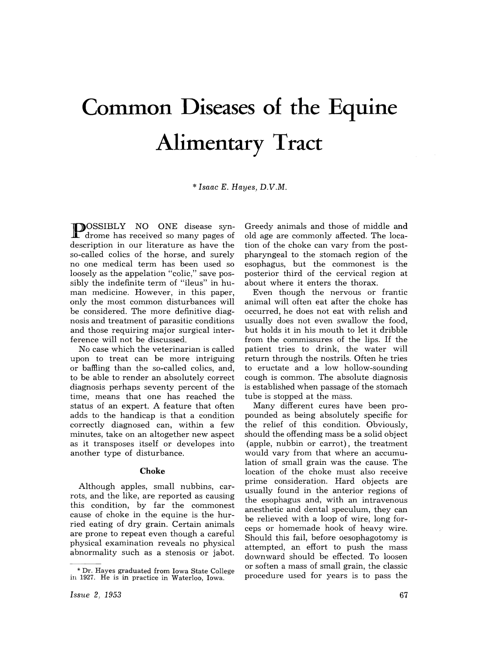# **Common Diseases of the Equine Alimentary Tract**

\* *Isaac E. Hayes, D.V.M.* 

**IF**OSSIBLY NO ONE disease syn-I drome has received so many pages of description in our literature as have the so-called colics of the horse, and surely no one medical term has been used so loosely as the appelation "colic," save possibly the indefinite term of "ileus" in human medicine. However, in this paper, only the most common disturbances will be considered. The more definitive diagnosis and treatment of parasitic conditions and those requiring major surgical interference will not be discussed.

No case which the veterinarian is called upon to treat can be more intriguing or baffling than the so-called colics, and, to be able to render an absolutely correct diagnosis perhaps seventy percent of the time, means that one has reached the status of an expert. A feature that often adds to the handicap is that a condition correctly diagnosed can, within a few minutes, take on an altogether new aspect as it transposes itself or developes into another type of disturbance.

#### **Choke**

Although apples, small nubbins, carrots, and the like, are reported as causing this condition, by far the commonest cause of choke in the equine is the hurried eating of dry grain. Certain animals are prone to repeat even though a careful physical examination reveals no physical abnormality such as a stenosis or jabot.

Greedy animals and those of middle and old age are commonly affected. The location of the choke can vary from the postpharyngeal to the stomach region of the esophagus, but the commonest is the posterior third of the cervical region at about where it enters the thorax.

Even though the nervous or frantic animal will often eat after the choke has occurred, he does not eat with relish and usually does not even swallow the food, but holds it in his mouth to let it dribble from the commissures of the lips. If the patient tries to drink, the water will return through the nostrils. Often he tries to eructate and a low hollow-sounding cough is common. The absolute diagnosis is established when passage of the stomach tube is stopped at the mass.

Many different cures have been propounded as being absolutely specific for the relief of this condition. Obviously, should the offending mass be a solid object (apple, nubbin or carrot), the treatment would vary from that where an accumulation of small grain was the cause. The location of the choke must also receive prime consideration. Hard objects are usually found in the anterior regions of the esophagus and, with an intravenous anesthetic and dental speculum, they can be relieved with a loop of wire, long forceps or homemade hook of heavy wire. Should this fail, before oesophagotomy is attempted, an effort to push the mass downward should be effected. To loosen or soften a mass of small grain, the classic procedure used for years is to pass the

<sup>&</sup>quot; Dr. Hayes graduated from Iowa State College in 1927. He is in practice in Waterloo, Iowa.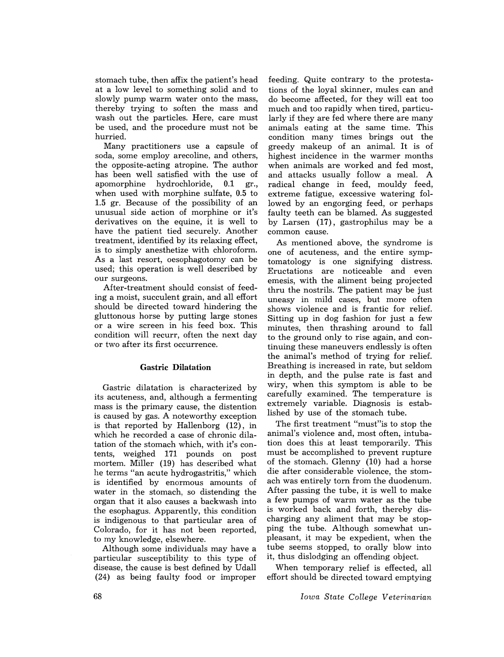stomach tube, then affix the patient's head at a low level to something solid and to slowly pump warm water onto the mass, thereby trying to soften the mass and wash out the particles. Here, care must be used, and the procedure must not be hurried.

Many practitioners use a capsule of soda, some employ arecoline, and others, the opposite-acting atropine. The author has been well satisfied with the use of apomorphine hydrochloride, 0.1 gr., when used with morphine sulfate, 0.5 to 1.5 gr. Because of the possibility of an unusual side action of morphine or it's derivatives on the equine, it is well to have the patient tied securely. Another treatment, identified by its relaxing effect, is to simply anesthetize with chloroform. As a last resort, oesophagotomy can be used; this operation is well described by our surgeons.

After-treatment should consist of feeding a moist, succulent grain, and all effort should be directed toward hindering the gluttonous horse by putting large stones or a wire screen in his feed box. This condition will recurr, often the next day or two after its first occurrence.

## Gastric Dilatation

Gastric dilatation is characterized by its acuteness, and, although a fermenting mass is the primary cause, the distention is caused by gas. A noteworthy exception is that reported by Hallenborg (12), in which he recorded a case of chronic dilatation of the stomach which, with it's contents, weighed 171 pounds on post mortem. Miller (19) has described what he terms "an acute hydrogastritis," which is identified by enormous amounts of water in the stomach, so distending the organ that it also causes a backwash into the esophagus. Apparently, this condition is indigenous to that particular area of Colorado, for it has not been reported, to my knowledge, elsewhere.

Although some individuals may have a particular susceptibility to this type of disease, the cause is best defined by Udall (24) as being faulty food or improper

feeding. Quite contrary to the protestations of the loyal skinner, mules can and do become affected, for they will eat too much and too rapidly when tired, particularly if they are fed where there are many animals eating at the same time. This condition many times brings out the greedy makeup of an animal. It is of highest incidence in the warmer months when animals are worked and fed most, and attacks usually follow a meal. A radical change in feed, mouldy feed, extreme fatigue, excessive watering followed by an engorging feed, or perhaps faulty teeth can be blamed. As suggested by Larsen (17), gastrophilus may be a common cause.

As mentioned above, the syndrome is one of acuteness, and the entire symptomatology is one signifying distress. Eructations are noticeable and even emesis, with the aliment being projected thru the nostrils. The patient may be just uneasy in mild cases, but more often shows violence and is frantic for relief. Sitting up in dog fashion for just a few minutes, then thrashing around to fall to the ground only to rise again, and continuing these maneuvers endlessly is often the animal's method of trying for relief. Breathing is increased in rate, but seldom in depth, and the pulse rate is fast and wiry, when this symptom is able to be carefully examined. The temperature is extremely variable. Diagnosis is established by use of the stomach tube.

The first treatment "must"is to stop the animal's violence and, most often, intubation does this at least temporarily. This must be accomplished to prevent rupture of the stomach. Glenny (10) had a horse die after considerable violence, the stomach was entirely torn from the duodenum. After passing the tube, it is well to make a few pumps of warm water as the tube is worked back and forth, thereby discharging any aliment that may be stopping the tube. Although somewhat unpleasant, it may be expedient, when the tube seems stopped, to orally blow into it, thus dislodging an offending object.

When temporary relief is effected, all effort should be directed toward emptying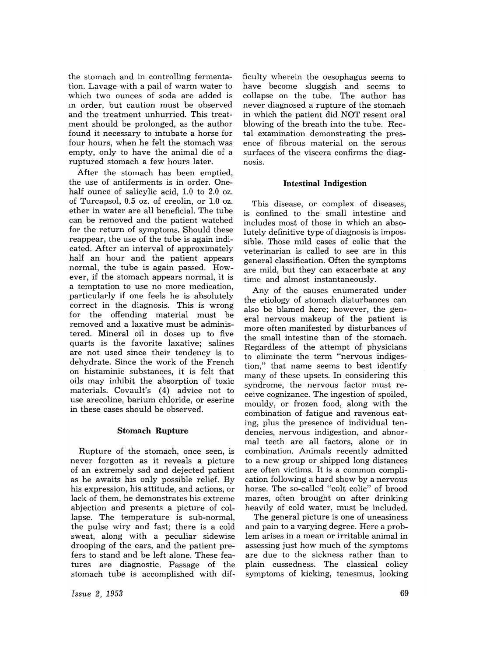the stomach and in controlling fermentation. Lavage with a pail of warm water to which two ounces of soda are added is m order, but caution must be observed and the treatment unhurried. This treatment should be prolonged, as the author found it necessary to intubate a horse for four hours, when he felt the stomach was empty, only to have the animal die of a ruptured stomach a few hours later.

After the stomach has been emptied, the use of antiferments is in order. Onehalf ounce of salicylic acid, 1.0 to 2.0 oz. of Turcapsol, 0.5 oz. of creolin, or 1.0 oz. ether in water are all beneficial. The tube can be removed and the patient watched for the return of symptoms. Should these reappear, the use of the tube is again indicated. After an interval of approximately half an hour and the patient appears normal, the tube is again passed. However, if the stomach appears normal, it is a temptation to use no more medication, particularly if one feels he is absolutely correct in the diagnosis. This is wrong for the offending material must be removed and a laxative must be administered. Mineral oil in doses up to five quarts is the favorite laxative; salines are not used since their tendency is to dehydrate. Since the work of the French on histaminic substances, it is felt that oils may inhibit the absorption of toxic materials. Covault's (4) advice not to use arecoline, barium chloride, or eserine in these cases should be observed.

## Stomach Rupture

Rupture of the stomach, once seen, is never forgotten as it reveals a picture of an extremely sad and dejected patient as he awaits his only possible relief. By his expression, his attitude, and actions, or lack of them, he demonstrates his extreme abjection and presents a picture of collapse. The temperature is sub-normal, the pulse wiry and fast; there is a cold sweat, along with a peculiar sidewise drooping of the ears, and the patient prefers to stand and be left alone. These features are diagnostic. Passage of the stomach tube is accomplished with dif-

ficulty wherein the oesophagus seems to have become sluggish and seems to collapse on the tube. The author has never diagnosed a rupture of the stomach in which the patient did NOT resent oral blowing of the breath into the tube. Rectal examination demonstrating the presence of fibrous material on the serous surfaces of the viscera confirms the diagnosis.

## Intestinal Indigestion

This disease, or complex of diseases, is confined to the small intestine and includes most of those in which an absolutely definitive type of diagnosis is impossible. Those mild cases of colic that the veterinarian is called to see are in this general classification. Often the symptoms are mild, but they can exacerbate at any time and almost instantaneously.

Any of the causes enumerated under the etiology of stomach disturbances can also be blamed here; however, the general nervous makeup of the patient is more often manifested by disturbances of the small intestine than of the stomach. Regardless of the attempt of physicians to eliminate the term "nervous indigestion," that name seems to best identify many of these upsets. In considering this syndrome, the nervous factor must receive cognizance. The ingestion of spoiled, mouldy, or frozen food, along with the combination of fatigue and ravenous eating, plus the presence of individual tendencies, nervous indigestion, and abnormal teeth are all factors, alone or in combination. Animals recently admitted to a new group or shipped long distances are often victims. It is a common complication following a hard show by a nervous horse. The so-called "colt colic" of brood mares, often brought on after drinking heavily of cold water, must be included.

The general picture is one of uneasiness and pain to a varying degree. Here a problem arises in a mean or irritable animal in assessing just how much of the symptoms are due to the sickness rather than to plain cussedness. The classical colicy symptoms of kicking, tenesmus, looking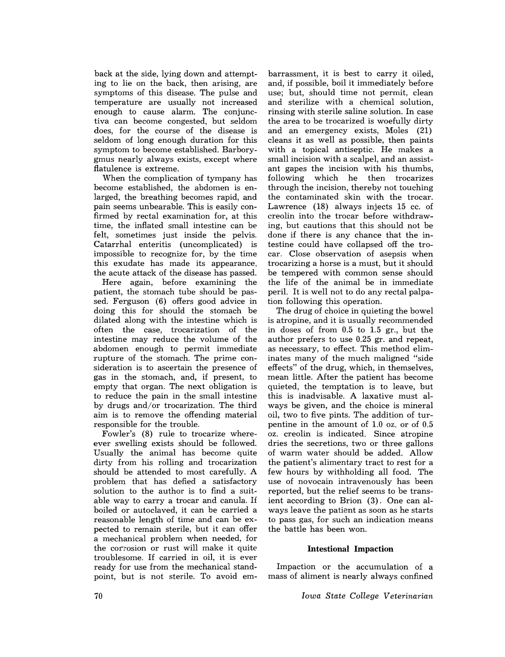back at the side, lying down and attempting to lie on the back, then arising, are symptoms of this disease. The pulse and temperature are usually not increased enough to cause alarm. The conjunctiva can become congested, but seldom does, for the course of the disease is seldom of long enough duration for this symptom to become established. Barborygmus nearly always exists, except where flatulence is extreme.

When the complication of tympany has become established, the abdomen is enlarged, the breathing becomes rapid, and pain seems unbearable. This is easily confirmed by rectal examination for, at this time, the inflated small intestine can be felt, sometimes just inside the pelvis. Catarrhal enteritis (uncomplicated) is impossible to recognize for, by the time this exudate has made its appearance, the acute attack of the disease has passed.

Here again, before examining the patient, the stomach tube should be passed. Ferguson (6) offers good advice in doing this for should the stomach be dilated along with the intestine which is often the case, trocarization of the intestine may reduce the volume of the abdomen enough to permit immediate rupture of the stomach. The prime consideration is to ascertain the presence of gas in the stomach, and, if present, to empty that organ. The next obligation is to reduce the pain in the small intestine by drugs and/or trocarization. The third aim is to remove the offending material responsible for the trouble.

Fowler's (8) rule to trocarize whereever swelling exists should be followed. Usually the animal has become quite dirty from his rolling and trocarization should be attended to most carefully. A problem that has defied a satisfactory solution to the author is to find a suitable way to carry a trocar and canula. If boiled or autoclaved, it can be carried a reasonable length of time and can be expected to remain sterile, but it can offer a mechanical problem when needed, for the corrosion or rust will make it quite troublesome. If carried in oil, it is ever ready for use from the mechanical standpoint, but is not sterile. To avoid em-

barrassment, it is best to carry it oiled, and, if possible, boil it immediately before use; but, should time not permit, clean and sterilize with a chemical solution, rinsing with sterile saline solution. In case the area to be trocarized is woefully dirty and an emergency exists, Moles (21) cleans it as well as possible, then paints with a topical antiseptic. He makes a small incision with a scalpel, and an assistant gapes the incision with his thumbs, following which he then trocarizes through the incision, thereby not touching the contaminated skin with the trocar. Lawrence (18) always injects 15 cc. of creolin into the trocar before withdrawing, but cautions that this should not be done if there is any chance that the intestine could have collapsed off the trocar. Close observation of asepsis when trocarizing a horse is a must, but it should be tempered with common sense should the life of the animal be in immediate peril. It is well not to do any rectal palpation following this operation.

The drug of choice in quieting the bowel is atropine, and it is usually recommended in doses of from 0.5 to 1.5 gr., but the author prefers to use 0.25 gr. and repeat, as necessary, to effect. This method eliminates many of the much maligned "side effects" of the drug, which, in themselves, mean little. After the patient has become quieted, the temptation is to leave, but this is inadvisable. A laxative must always be given, and the choice is mineral oil, two to five pints. The addition of turpentine in the amount of 1.0 oz. or of 0.5 oz. creolin is indicated. Since atropine dries the secretions, two or three gallons of warm water should be added. Allow the patient's alimentary tract to rest for a few hours by withholding all food. The use of novocain intravenously has been reported, but the relief seems to be transient according to Brion (3). One can always leave the patient as soon as he starts to pass gas, for such an indication means the battle has been won.

## **Intestional Impaction**

Impaction or the accumulation of a mass of aliment is nearly always confined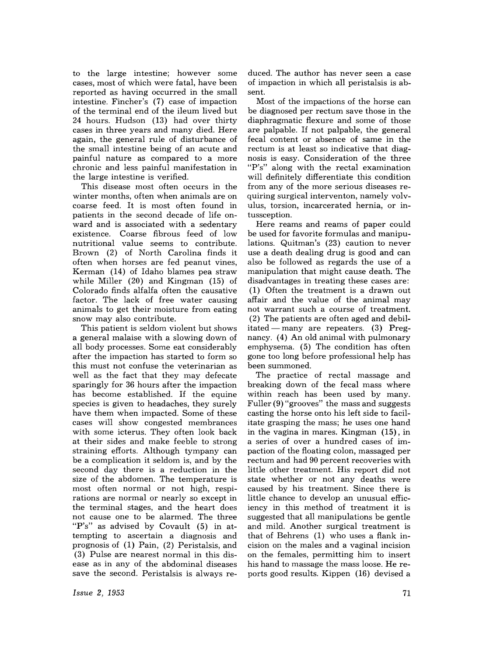to the large intestine; however some cases, most of which were fatal, have been reported as having occurred in the small intestine. Fincher's (7) case of impaction of the terminal end of the ileum lived but 24 hours. Hudson (13) had over thirty cases in three years and many died. Here again, the general rule of disturbance of the small intestine being of an acute and painful nature as compared to a more chronic and less painful manifestation in the large intestine is verified.

This disease most often occurs in the winter months, often when animals are on coarse feed. It is most often found in patients in the second decade of life onward and is associated with a sedentary existence. Coarse fibrous feed of low nutritional value seems to contribute. Brown (2) of North Carolina finds it often when horses are fed peanut vines, Kerman (14) of Idaho blames pea straw while Miller (20) and Kingman (15) of Colorado finds alfalfa often the causative factor. The lack of free water causing animals to get their moisture from eating snow may also contribute.

This patient is seldom violent but shows a general malaise with a slowing down of all body processes. Some eat considerably after the impaction has started to form so this must not confuse the veterinarian as well as the fact that they may defecate sparingly for 36 hours after the impaction has become established. If the equine species is given to headaches, they surely have them when impacted. Some of these cases will show congested membrances with some icterus. They often look back at their sides and make feeble to strong straining efforts. Although tympany can be a complication it seldom is, and by the second day there is a reduction in the size of the abdomen. The temperature is most often normal or not high, respirations are normal or nearly so except in the terminal stages, and the heart does not cause one to be alarmed. The three "P's" as advised by Covault (5) in attempting to ascertain a diagnosis and prognosis of (1) Pain, (2) Peristalsis, and (3) Pulse are nearest normal in this disease as in any of the abdominal diseases save the second. Peristalsis is always reduced. The author has never seen a case of impaction in which all peristalsis is absent.

Most of the impactions of the horse can be diagnosed per rectum save those in the diaphragmatic flexure and some of those are palpable. If not palpable, the general fecal content or absence of same in the rectum is at least so indicative that diagnosis is easy. Consideration of the three "P's" along with the rectal examination will definitely differentiate this condition from any of the more serious diseases requiring surgical interventon, namely volvulus, torsion, incarcerated hernia, or intussception.

Here reams and reams of paper could be used for favorite formulas and manipulations. Quitman's (23) caution to never use a death dealing drug is good and can also be followed as regards the use of a manipulation that might cause death. The disadvantages in treating these cases are: (1) Often the treatment is a drawn out affair and the value of the animal may not warrant such a course of treatment. (2) The patients are often aged and debilitated - many are repeaters.  $(3)$  Pregnancy. (4) An old animal with pulmonary emphysema. (5) The condition has often gone too long before professional help has been summoned.

The practice of rectal massage and breaking down of the fecal mass where within reach has been used by many. Fuller (9) "grooves" the mass and suggests casting the horse onto his left side to facilitate grasping the mass; he uses one hand in the vagina in mares. Kingman (15), in a series of over a hundred cases of impaction of the floating colon, massaged per rectum and had 90 percent recoveries with little other treatment. His report did not state whether or not any deaths were caused by his treatment. Since there is little chance to develop an unusual efficiency in this method of treatment it is suggested that all manipulations be gentle and mild. Another surgical treatment is that of Behrens (1) who uses a flank incision on the males and a vaginal incision on the females, permitting him to insert his hand to massage the mass loose. He reports good results. Kippen (16) devised a